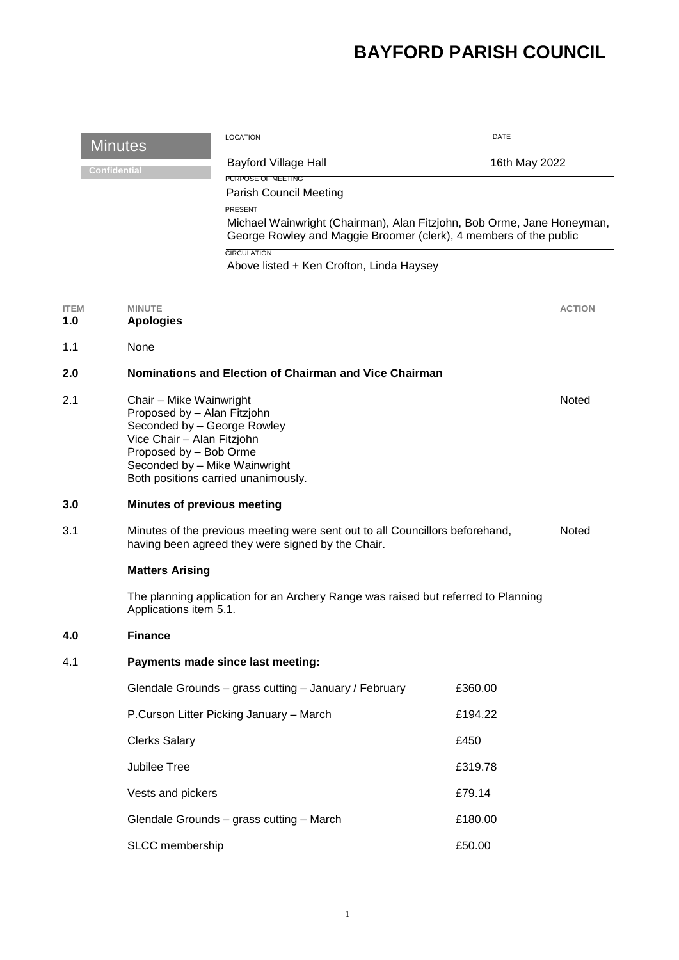## **BAYFORD PARISH COUNCIL**

| <b>Minutes</b>      |                                                                                                                                                                                                                       | <b>LOCATION</b>                                                                                                                                                                                                          |         | DATE          |  |
|---------------------|-----------------------------------------------------------------------------------------------------------------------------------------------------------------------------------------------------------------------|--------------------------------------------------------------------------------------------------------------------------------------------------------------------------------------------------------------------------|---------|---------------|--|
| <b>Confidential</b> |                                                                                                                                                                                                                       | Bayford Village Hall                                                                                                                                                                                                     |         | 16th May 2022 |  |
|                     |                                                                                                                                                                                                                       | PURPOSE OF MEETING<br><b>Parish Council Meeting</b>                                                                                                                                                                      |         |               |  |
|                     |                                                                                                                                                                                                                       | PRESENT<br>Michael Wainwright (Chairman), Alan Fitzjohn, Bob Orme, Jane Honeyman,<br>George Rowley and Maggie Broomer (clerk), 4 members of the public<br><b>CIRCULATION</b><br>Above listed + Ken Crofton, Linda Haysey |         |               |  |
|                     |                                                                                                                                                                                                                       |                                                                                                                                                                                                                          |         |               |  |
| <b>ITEM</b><br>1.0  | <b>MINUTE</b><br><b>Apologies</b>                                                                                                                                                                                     |                                                                                                                                                                                                                          |         | <b>ACTION</b> |  |
| 1.1                 | None                                                                                                                                                                                                                  |                                                                                                                                                                                                                          |         |               |  |
| 2.0                 |                                                                                                                                                                                                                       | Nominations and Election of Chairman and Vice Chairman                                                                                                                                                                   |         |               |  |
| 2.1                 | Chair - Mike Wainwright<br>Proposed by - Alan Fitzjohn<br>Seconded by - George Rowley<br>Vice Chair - Alan Fitzjohn<br>Proposed by - Bob Orme<br>Seconded by - Mike Wainwright<br>Both positions carried unanimously. |                                                                                                                                                                                                                          |         | Noted         |  |
| 3.0                 | <b>Minutes of previous meeting</b>                                                                                                                                                                                    |                                                                                                                                                                                                                          |         |               |  |
| 3.1                 |                                                                                                                                                                                                                       | Minutes of the previous meeting were sent out to all Councillors beforehand,<br>having been agreed they were signed by the Chair.                                                                                        |         | Noted         |  |
|                     | <b>Matters Arising</b>                                                                                                                                                                                                |                                                                                                                                                                                                                          |         |               |  |
|                     | The planning application for an Archery Range was raised but referred to Planning<br>Applications item 5.1.                                                                                                           |                                                                                                                                                                                                                          |         |               |  |
| 4.0                 | <b>Finance</b>                                                                                                                                                                                                        |                                                                                                                                                                                                                          |         |               |  |
| 4.1                 |                                                                                                                                                                                                                       | Payments made since last meeting:                                                                                                                                                                                        |         |               |  |
|                     |                                                                                                                                                                                                                       | Glendale Grounds - grass cutting - January / February                                                                                                                                                                    | £360.00 |               |  |
|                     |                                                                                                                                                                                                                       | P.Curson Litter Picking January - March                                                                                                                                                                                  | £194.22 |               |  |
|                     | <b>Clerks Salary</b>                                                                                                                                                                                                  |                                                                                                                                                                                                                          | £450    |               |  |
|                     | Jubilee Tree                                                                                                                                                                                                          |                                                                                                                                                                                                                          | £319.78 |               |  |
|                     | Vests and pickers                                                                                                                                                                                                     |                                                                                                                                                                                                                          | £79.14  |               |  |
|                     |                                                                                                                                                                                                                       | Glendale Grounds - grass cutting - March                                                                                                                                                                                 | £180.00 |               |  |
|                     | SLCC membership                                                                                                                                                                                                       |                                                                                                                                                                                                                          | £50.00  |               |  |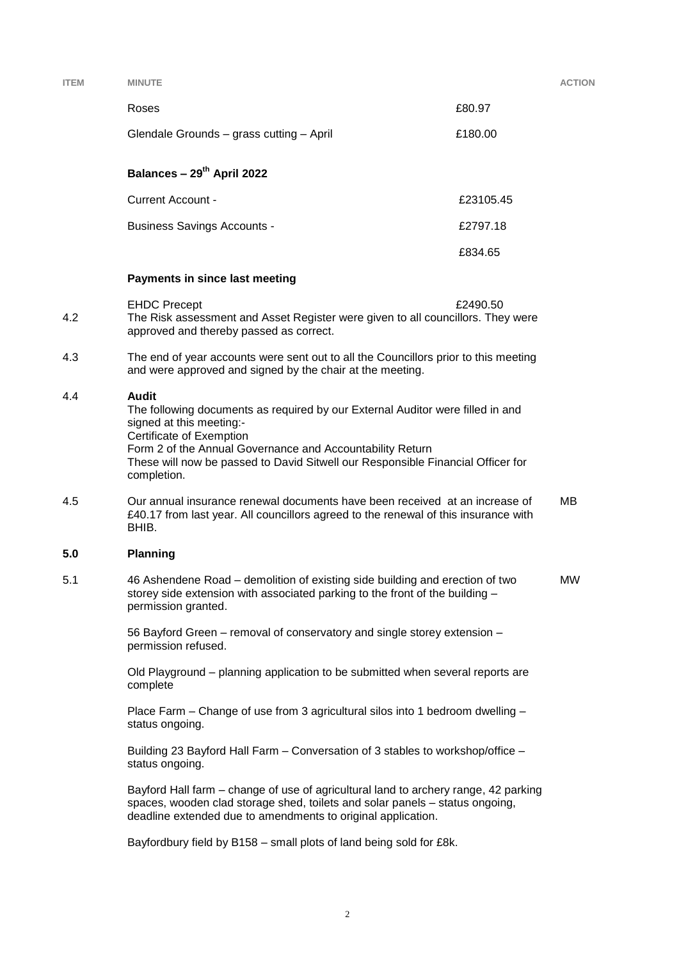| <b>ITEM</b> | <b>MINUTE</b>                                                                                                                                                                                                                                                                                                         |           |  |  |  |  |
|-------------|-----------------------------------------------------------------------------------------------------------------------------------------------------------------------------------------------------------------------------------------------------------------------------------------------------------------------|-----------|--|--|--|--|
|             | Roses                                                                                                                                                                                                                                                                                                                 | £80.97    |  |  |  |  |
|             | Glendale Grounds - grass cutting - April                                                                                                                                                                                                                                                                              | £180.00   |  |  |  |  |
|             | Balances - 29 <sup>th</sup> April 2022                                                                                                                                                                                                                                                                                |           |  |  |  |  |
|             | <b>Current Account -</b>                                                                                                                                                                                                                                                                                              | £23105.45 |  |  |  |  |
|             | <b>Business Savings Accounts -</b>                                                                                                                                                                                                                                                                                    | £2797.18  |  |  |  |  |
|             |                                                                                                                                                                                                                                                                                                                       | £834.65   |  |  |  |  |
|             | Payments in since last meeting                                                                                                                                                                                                                                                                                        |           |  |  |  |  |
| 4.2         | <b>EHDC Precept</b><br>The Risk assessment and Asset Register were given to all councillors. They were<br>approved and thereby passed as correct.                                                                                                                                                                     | £2490.50  |  |  |  |  |
| 4.3         | The end of year accounts were sent out to all the Councillors prior to this meeting<br>and were approved and signed by the chair at the meeting.                                                                                                                                                                      |           |  |  |  |  |
| 4.4         | <b>Audit</b><br>The following documents as required by our External Auditor were filled in and<br>signed at this meeting:-<br>Certificate of Exemption<br>Form 2 of the Annual Governance and Accountability Return<br>These will now be passed to David Sitwell our Responsible Financial Officer for<br>completion. |           |  |  |  |  |
| 4.5         | MВ<br>Our annual insurance renewal documents have been received at an increase of<br>£40.17 from last year. All councillors agreed to the renewal of this insurance with<br>BHIB.                                                                                                                                     |           |  |  |  |  |
| 5.0         | <b>Planning</b>                                                                                                                                                                                                                                                                                                       |           |  |  |  |  |
| 5.1         | 46 Ashendene Road – demolition of existing side building and erection of two<br>storey side extension with associated parking to the front of the building -<br>permission granted.                                                                                                                                   |           |  |  |  |  |
|             | 56 Bayford Green - removal of conservatory and single storey extension -<br>permission refused.                                                                                                                                                                                                                       |           |  |  |  |  |
|             | Old Playground – planning application to be submitted when several reports are<br>complete                                                                                                                                                                                                                            |           |  |  |  |  |
|             | Place Farm – Change of use from 3 agricultural silos into 1 bedroom dwelling –<br>status ongoing.                                                                                                                                                                                                                     |           |  |  |  |  |
|             | Building 23 Bayford Hall Farm - Conversation of 3 stables to workshop/office -<br>status ongoing.                                                                                                                                                                                                                     |           |  |  |  |  |
|             | Bayford Hall farm - change of use of agricultural land to archery range, 42 parking<br>spaces, wooden clad storage shed, toilets and solar panels - status ongoing,<br>deadline extended due to amendments to original application.                                                                                   |           |  |  |  |  |
|             |                                                                                                                                                                                                                                                                                                                       |           |  |  |  |  |

Bayfordbury field by B158 – small plots of land being sold for £8k.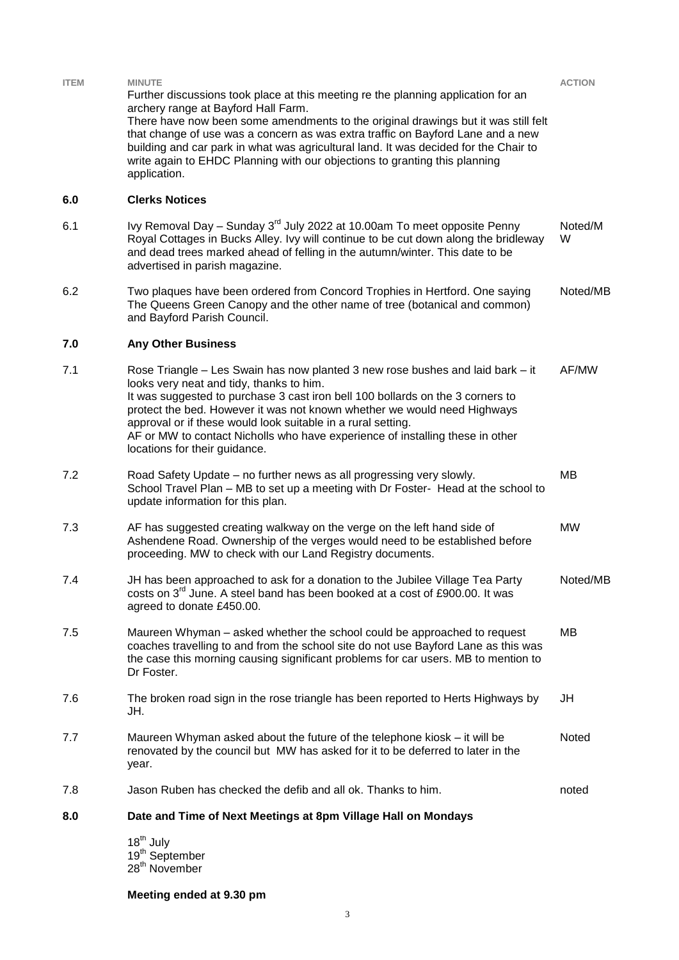| <b>ITEM</b> | <b>MINUTE</b><br>Further discussions took place at this meeting re the planning application for an<br>archery range at Bayford Hall Farm.<br>There have now been some amendments to the original drawings but it was still felt<br>that change of use was a concern as was extra traffic on Bayford Lane and a new<br>building and car park in what was agricultural land. It was decided for the Chair to<br>write again to EHDC Planning with our objections to granting this planning<br>application. | <b>ACTION</b> |  |  |  |
|-------------|----------------------------------------------------------------------------------------------------------------------------------------------------------------------------------------------------------------------------------------------------------------------------------------------------------------------------------------------------------------------------------------------------------------------------------------------------------------------------------------------------------|---------------|--|--|--|
| 6.0         | <b>Clerks Notices</b>                                                                                                                                                                                                                                                                                                                                                                                                                                                                                    |               |  |  |  |
| 6.1         | Ivy Removal Day - Sunday 3 <sup>rd</sup> July 2022 at 10.00am To meet opposite Penny<br>Royal Cottages in Bucks Alley. Ivy will continue to be cut down along the bridleway<br>and dead trees marked ahead of felling in the autumn/winter. This date to be<br>advertised in parish magazine.                                                                                                                                                                                                            | Noted/M<br>W  |  |  |  |
| 6.2         | Two plaques have been ordered from Concord Trophies in Hertford. One saying<br>The Queens Green Canopy and the other name of tree (botanical and common)<br>and Bayford Parish Council.                                                                                                                                                                                                                                                                                                                  | Noted/MB      |  |  |  |
| 7.0         | <b>Any Other Business</b>                                                                                                                                                                                                                                                                                                                                                                                                                                                                                |               |  |  |  |
| 7.1         | Rose Triangle - Les Swain has now planted 3 new rose bushes and laid bark - it<br>looks very neat and tidy, thanks to him.<br>It was suggested to purchase 3 cast iron bell 100 bollards on the 3 corners to<br>protect the bed. However it was not known whether we would need Highways<br>approval or if these would look suitable in a rural setting.<br>AF or MW to contact Nicholls who have experience of installing these in other<br>locations for their guidance.                               | AF/MW         |  |  |  |
| 7.2         | Road Safety Update – no further news as all progressing very slowly.<br>School Travel Plan - MB to set up a meeting with Dr Foster- Head at the school to<br>update information for this plan.                                                                                                                                                                                                                                                                                                           | MВ            |  |  |  |
| 7.3         | AF has suggested creating walkway on the verge on the left hand side of<br>Ashendene Road. Ownership of the verges would need to be established before<br>proceeding. MW to check with our Land Registry documents.                                                                                                                                                                                                                                                                                      | <b>MW</b>     |  |  |  |
| 7.4         | JH has been approached to ask for a donation to the Jubilee Village Tea Party<br>costs on 3 <sup>rd</sup> June. A steel band has been booked at a cost of £900.00. It was<br>agreed to donate £450.00.                                                                                                                                                                                                                                                                                                   | Noted/MB      |  |  |  |
| 7.5         | Maureen Whyman - asked whether the school could be approached to request<br>coaches travelling to and from the school site do not use Bayford Lane as this was<br>the case this morning causing significant problems for car users. MB to mention to<br>Dr Foster.                                                                                                                                                                                                                                       | MВ            |  |  |  |
| 7.6         | The broken road sign in the rose triangle has been reported to Herts Highways by<br>JH.                                                                                                                                                                                                                                                                                                                                                                                                                  | JH            |  |  |  |
| 7.7         | Maureen Whyman asked about the future of the telephone kiosk – it will be<br>renovated by the council but MW has asked for it to be deferred to later in the<br>year.                                                                                                                                                                                                                                                                                                                                    | Noted         |  |  |  |
| 7.8         | Jason Ruben has checked the defib and all ok. Thanks to him.                                                                                                                                                                                                                                                                                                                                                                                                                                             | noted         |  |  |  |
| 8.0         | Date and Time of Next Meetings at 8pm Village Hall on Mondays                                                                                                                                                                                                                                                                                                                                                                                                                                            |               |  |  |  |
|             | 18 <sup>th</sup> July<br>19 <sup>th</sup> September<br>28 <sup>th</sup> November                                                                                                                                                                                                                                                                                                                                                                                                                         |               |  |  |  |

**Meeting ended at 9.30 pm**